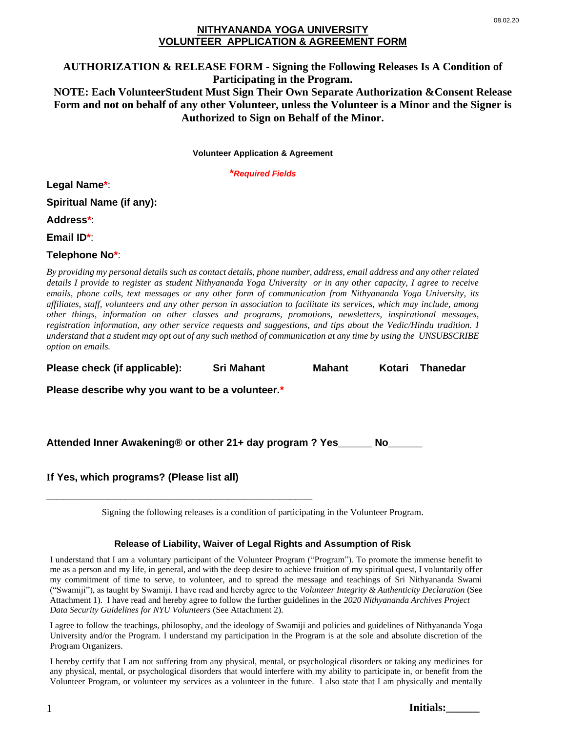## **NITHYANANDA YOGA UNIVERSITY VOLUNTEER APPLICATION & AGREEMENT FORM**

# **AUTHORIZATION & RELEASE FORM - Signing the Following Releases Is A Condition of Participating in the Program. NOTE: Each VolunteerStudent Must Sign Their Own Separate Authorization &Consent Release Form and not on behalf of any other Volunteer, unless the Volunteer is a Minor and the Signer is Authorized to Sign on Behalf of the Minor.**

**Volunteer Application & Agreement**

**\****Required Fields*

**Legal Name\***:

**Spiritual Name (if any):**

**Address\***:

**Email ID\***:

## **Telephone No\***:

*By providing my personal details such as contact details, phone number, address, email address and any other related details I provide to register as student Nithyananda Yoga University or in any other capacity, I agree to receive emails, phone calls, text messages or any other form of communication from Nithyananda Yoga University, its affiliates, staff, volunteers and any other person in association to facilitate its services, which may include, among other things, information on other classes and programs, promotions, newsletters, inspirational messages, registration information, any other service requests and suggestions, and tips about the Vedic/Hindu tradition. I understand that a student may opt out of any such method of communication at any time by using the UNSUBSCRIBE option on emails.* 

**Please check (if applicable): Sri Mahant Mahant Kotari Thanedar** 

**Please describe why you want to be a volunteer.\*** 

**\_\_\_\_\_\_\_\_\_\_\_\_\_\_\_\_\_\_\_\_\_\_\_\_\_\_\_\_\_\_\_\_\_\_\_\_\_\_\_\_\_\_\_\_\_\_\_**

**Attended Inner Awakening® or other 21+ day program ? Yes\_\_\_\_\_\_ No\_\_\_\_\_\_**

**If Yes, which programs? (Please list all)** 

Signing the following releases is a condition of participating in the Volunteer Program.

### **Release of Liability, Waiver of Legal Rights and Assumption of Risk**

I understand that I am a voluntary participant of the Volunteer Program ("Program"). To promote the immense benefit to me as a person and my life, in general, and with the deep desire to achieve fruition of my spiritual quest, I voluntarily offer my commitment of time to serve, to volunteer, and to spread the message and teachings of Sri Nithyananda Swami ("Swamiji"), as taught by Swamiji. I have read and hereby agree to the *Volunteer Integrity & Authenticity Declaration* (See Attachment 1). I have read and hereby agree to follow the further guidelines in the *2020 Nithyananda Archives Project Data Security Guidelines for NYU Volunteers* (See Attachment 2).

I agree to follow the teachings, philosophy, and the ideology of Swamiji and policies and guidelines of Nithyananda Yoga University and/or the Program. I understand my participation in the Program is at the sole and absolute discretion of the Program Organizers.

I hereby certify that I am not suffering from any physical, mental, or psychological disorders or taking any medicines for any physical, mental, or psychological disorders that would interfere with my ability to participate in, or benefit from the Volunteer Program, or volunteer my services as a volunteer in the future. I also state that I am physically and mentally

**Initials:\_\_\_\_\_\_**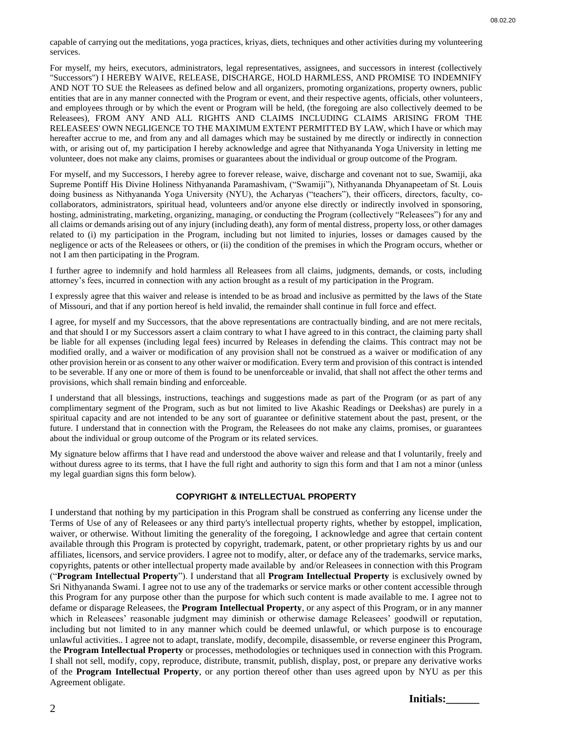capable of carrying out the meditations, yoga practices, kriyas, diets, techniques and other activities during my volunteering services.

For myself, my heirs, executors, administrators, legal representatives, assignees, and successors in interest (collectively "Successors") I HEREBY WAIVE, RELEASE, DISCHARGE, HOLD HARMLESS, AND PROMISE TO INDEMNIFY AND NOT TO SUE the Releasees as defined below and all organizers, promoting organizations, property owners, public entities that are in any manner connected with the Program or event, and their respective agents, officials, other volunteers, and employees through or by which the event or Program will be held, (the foregoing are also collectively deemed to be Releasees), FROM ANY AND ALL RIGHTS AND CLAIMS INCLUDING CLAIMS ARISING FROM THE RELEASEES' OWN NEGLIGENCE TO THE MAXIMUM EXTENT PERMITTED BY LAW, which I have or which may hereafter accrue to me, and from any and all damages which may be sustained by me directly or indirectly in connection with, or arising out of, my participation I hereby acknowledge and agree that Nithyananda Yoga University in letting me volunteer, does not make any claims, promises or guarantees about the individual or group outcome of the Program.

For myself, and my Successors, I hereby agree to forever release, waive, discharge and covenant not to sue, Swamiji, aka Supreme Pontiff His Divine Holiness Nithyananda Paramashivam, ("Swamiji"), Nithyananda Dhyanapeetam of St. Louis doing business as Nithyananda Yoga University (NYU), the Acharyas ("teachers"), their officers, directors, faculty, cocollaborators, administrators, spiritual head, volunteers and/or anyone else directly or indirectly involved in sponsoring, hosting, administrating, marketing, organizing, managing, or conducting the Program (collectively "Releasees") for any and all claims or demands arising out of any injury (including death), any form of mental distress, property loss, or other damages related to (i) my participation in the Program, including but not limited to injuries, losses or damages caused by the negligence or acts of the Releasees or others, or (ii) the condition of the premises in which the Program occurs, whether or not I am then participating in the Program.

I further agree to indemnify and hold harmless all Releasees from all claims, judgments, demands, or costs, including attorney's fees, incurred in connection with any action brought as a result of my participation in the Program.

I expressly agree that this waiver and release is intended to be as broad and inclusive as permitted by the laws of the State of Missouri, and that if any portion hereof is held invalid, the remainder shall continue in full force and effect.

I agree, for myself and my Successors, that the above representations are contractually binding, and are not mere recitals, and that should I or my Successors assert a claim contrary to what I have agreed to in this contract, the claiming party shall be liable for all expenses (including legal fees) incurred by Releases in defending the claims. This contract may not be modified orally, and a waiver or modification of any provision shall not be construed as a waiver or modification of any other provision herein or as consent to any other waiver or modification. Every term and provision of this contract is intended to be severable. If any one or more of them is found to be unenforceable or invalid, that shall not affect the other terms and provisions, which shall remain binding and enforceable.

I understand that all blessings, instructions, teachings and suggestions made as part of the Program (or as part of any complimentary segment of the Program, such as but not limited to live Akashic Readings or Deekshas) are purely in a spiritual capacity and are not intended to be any sort of guarantee or definitive statement about the past, present, or the future. I understand that in connection with the Program, the Releasees do not make any claims, promises, or guarantees about the individual or group outcome of the Program or its related services.

My signature below affirms that I have read and understood the above waiver and release and that I voluntarily, freely and without duress agree to its terms, that I have the full right and authority to sign this form and that I am not a minor (unless my legal guardian signs this form below).

#### **COPYRIGHT & INTELLECTUAL PROPERTY**

I understand that nothing by my participation in this Program shall be construed as conferring any license under the Terms of Use of any of Releasees or any third party's intellectual property rights, whether by estoppel, implication, waiver, or otherwise. Without limiting the generality of the foregoing, I acknowledge and agree that certain content available through this Program is protected by copyright, trademark, patent, or other proprietary rights by us and our affiliates, licensors, and service providers. I agree not to modify, alter, or deface any of the trademarks, service marks, copyrights, patents or other intellectual property made available by and/or Releasees in connection with this Program ("**Program Intellectual Property**"). I understand that all **Program Intellectual Property** is exclusively owned by Sri Nithyananda Swami. I agree not to use any of the trademarks or service marks or other content accessible through this Program for any purpose other than the purpose for which such content is made available to me. I agree not to defame or disparage Releasees, the **Program Intellectual Property**, or any aspect of this Program, or in any manner which in Releasees' reasonable judgment may diminish or otherwise damage Releasees' goodwill or reputation, including but not limited to in any manner which could be deemed unlawful, or which purpose is to encourage unlawful activities.. I agree not to adapt, translate, modify, decompile, disassemble, or reverse engineer this Program, the **Program Intellectual Property** or processes, methodologies or techniques used in connection with this Program. I shall not sell, modify, copy, reproduce, distribute, transmit, publish, display, post, or prepare any derivative works of the **Program Intellectual Property**, or any portion thereof other than uses agreed upon by NYU as per this Agreement obligate.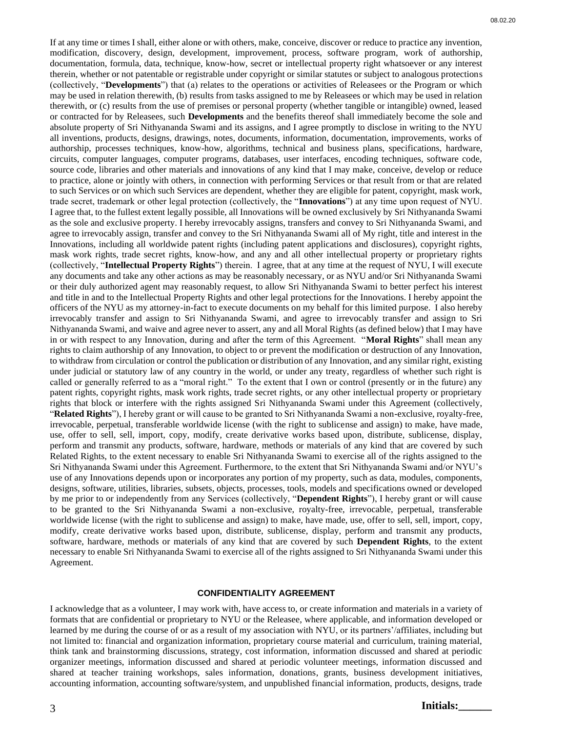If at any time or times I shall, either alone or with others, make, conceive, discover or reduce to practice any invention, modification, discovery, design, development, improvement, process, software program, work of authorship, documentation, formula, data, technique, know-how, secret or intellectual property right whatsoever or any interest therein, whether or not patentable or registrable under copyright or similar statutes or subject to analogous protections (collectively, "**Developments**") that (a) relates to the operations or activities of Releasees or the Program or which may be used in relation therewith, (b) results from tasks assigned to me by Releasees or which may be used in relation therewith, or (c) results from the use of premises or personal property (whether tangible or intangible) owned, leased or contracted for by Releasees, such **Developments** and the benefits thereof shall immediately become the sole and absolute property of Sri Nithyananda Swami and its assigns, and I agree promptly to disclose in writing to the NYU all inventions, products, designs, drawings, notes, documents, information, documentation, improvements, works of authorship, processes techniques, know-how, algorithms, technical and business plans, specifications, hardware, circuits, computer languages, computer programs, databases, user interfaces, encoding techniques, software code, source code, libraries and other materials and innovations of any kind that I may make, conceive, develop or reduce to practice, alone or jointly with others, in connection with performing Services or that result from or that are related to such Services or on which such Services are dependent, whether they are eligible for patent, copyright, mask work, trade secret, trademark or other legal protection (collectively, the "**Innovations**") at any time upon request of NYU. I agree that, to the fullest extent legally possible, all Innovations will be owned exclusively by Sri Nithyananda Swami as the sole and exclusive property. I hereby irrevocably assigns, transfers and convey to Sri Nithyananda Swami, and agree to irrevocably assign, transfer and convey to the Sri Nithyananda Swami all of My right, title and interest in the Innovations, including all worldwide patent rights (including patent applications and disclosures), copyright rights, mask work rights, trade secret rights, know-how, and any and all other intellectual property or proprietary rights (collectively, "**Intellectual Property Rights**") therein. I agree, that at any time at the request of NYU, I will execute any documents and take any other actions as may be reasonably necessary, or as NYU and/or Sri Nithyananda Swami or their duly authorized agent may reasonably request, to allow Sri Nithyananda Swami to better perfect his interest and title in and to the Intellectual Property Rights and other legal protections for the Innovations. I hereby appoint the officers of the NYU as my attorney-in-fact to execute documents on my behalf for this limited purpose. I also hereby irrevocably transfer and assign to Sri Nithyananda Swami, and agree to irrevocably transfer and assign to Sri Nithyananda Swami, and waive and agree never to assert, any and all Moral Rights (as defined below) that I may have in or with respect to any Innovation, during and after the term of this Agreement. "**Moral Rights**" shall mean any rights to claim authorship of any Innovation, to object to or prevent the modification or destruction of any Innovation, to withdraw from circulation or control the publication or distribution of any Innovation, and any similar right, existing under judicial or statutory law of any country in the world, or under any treaty, regardless of whether such right is called or generally referred to as a "moral right." To the extent that I own or control (presently or in the future) any patent rights, copyright rights, mask work rights, trade secret rights, or any other intellectual property or proprietary rights that block or interfere with the rights assigned Sri Nithyananda Swami under this Agreement (collectively, "**Related Rights**"), I hereby grant or will cause to be granted to Sri Nithyananda Swami a non-exclusive, royalty-free, irrevocable, perpetual, transferable worldwide license (with the right to sublicense and assign) to make, have made, use, offer to sell, sell, import, copy, modify, create derivative works based upon, distribute, sublicense, display, perform and transmit any products, software, hardware, methods or materials of any kind that are covered by such Related Rights, to the extent necessary to enable Sri Nithyananda Swami to exercise all of the rights assigned to the Sri Nithyananda Swami under this Agreement. Furthermore, to the extent that Sri Nithyananda Swami and/or NYU's use of any Innovations depends upon or incorporates any portion of my property, such as data, modules, components, designs, software, utilities, libraries, subsets, objects, processes, tools, models and specifications owned or developed by me prior to or independently from any Services (collectively, "**Dependent Rights**"), I hereby grant or will cause to be granted to the Sri Nithyananda Swami a non-exclusive, royalty-free, irrevocable, perpetual, transferable worldwide license (with the right to sublicense and assign) to make, have made, use, offer to sell, sell, import, copy, modify, create derivative works based upon, distribute, sublicense, display, perform and transmit any products, software, hardware, methods or materials of any kind that are covered by such **Dependent Rights**, to the extent necessary to enable Sri Nithyananda Swami to exercise all of the rights assigned to Sri Nithyananda Swami under this Agreement.

#### **CONFIDENTIALITY AGREEMENT**

I acknowledge that as a volunteer, I may work with, have access to, or create information and materials in a variety of formats that are confidential or proprietary to NYU or the Releasee, where applicable, and information developed or learned by me during the course of or as a result of my association with NYU, or its partners'/affiliates, including but not limited to: financial and organization information, proprietary course material and curriculum, training material, think tank and brainstorming discussions, strategy, cost information, information discussed and shared at periodic organizer meetings, information discussed and shared at periodic volunteer meetings, information discussed and shared at teacher training workshops, sales information, donations, grants, business development initiatives, accounting information, accounting software/system, and unpublished financial information, products, designs, trade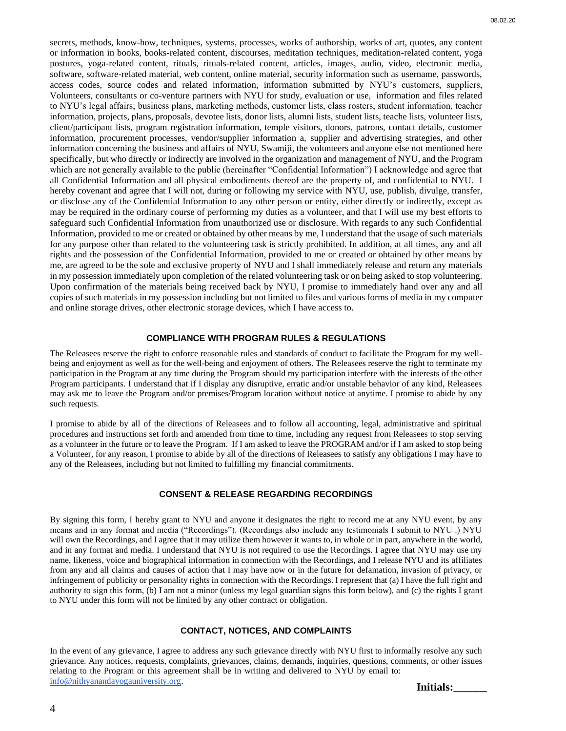secrets, methods, know-how, techniques, systems, processes, works of authorship, works of art, quotes, any content or information in books, books-related content, discourses, meditation techniques, meditation-related content, yoga postures, yoga-related content, rituals, rituals-related content, articles, images, audio, video, electronic media, software, software-related material, web content, online material, security information such as username, passwords, access codes, source codes and related information, information submitted by NYU's customers, suppliers, Volunteers, consultants or co-venture partners with NYU for study, evaluation or use, information and files related to NYU's legal affairs; business plans, marketing methods, customer lists, class rosters, student information, teacher information, projects, plans, proposals, devotee lists, donor lists, alumni lists, student lists, teache lists, volunteer lists, client/participant lists, program registration information, temple visitors, donors, patrons, contact details, customer information, procurement processes, vendor/supplier information a, supplier and advertising strategies, and other information concerning the business and affairs of NYU, Swamiji, the volunteers and anyone else not mentioned here specifically, but who directly or indirectly are involved in the organization and management of NYU, and the Program which are not generally available to the public (hereinafter "Confidential Information") I acknowledge and agree that all Confidential Information and all physical embodiments thereof are the property of, and confidential to NYU. I hereby covenant and agree that I will not, during or following my service with NYU, use, publish, divulge, transfer, or disclose any of the Confidential Information to any other person or entity, either directly or indirectly, except as may be required in the ordinary course of performing my duties as a volunteer, and that I will use my best efforts to safeguard such Confidential Information from unauthorized use or disclosure. With regards to any such Confidential Information, provided to me or created or obtained by other means by me, I understand that the usage of such materials for any purpose other than related to the volunteering task is strictly prohibited. In addition, at all times, any and all rights and the possession of the Confidential Information, provided to me or created or obtained by other means by me, are agreed to be the sole and exclusive property of NYU and I shall immediately release and return any materials in my possession immediately upon completion of the related volunteering task or on being asked to stop volunteering. Upon confirmation of the materials being received back by NYU, I promise to immediately hand over any and all copies of such materials in my possession including but not limited to files and various forms of media in my computer and online storage drives, other electronic storage devices, which I have access to.

#### **COMPLIANCE WITH PROGRAM RULES & REGULATIONS**

The Releasees reserve the right to enforce reasonable rules and standards of conduct to facilitate the Program for my wellbeing and enjoyment as well as for the well-being and enjoyment of others. The Releasees reserve the right to terminate my participation in the Program at any time during the Program should my participation interfere with the interests of the other Program participants. I understand that if I display any disruptive, erratic and/or unstable behavior of any kind, Releasees may ask me to leave the Program and/or premises/Program location without notice at anytime. I promise to abide by any such requests.

I promise to abide by all of the directions of Releasees and to follow all accounting, legal, administrative and spiritual procedures and instructions set forth and amended from time to time, including any request from Releasees to stop serving as a volunteer in the future or to leave the Program. If I am asked to leave the PROGRAM and/or if I am asked to stop being a Volunteer, for any reason, I promise to abide by all of the directions of Releasees to satisfy any obligations I may have to any of the Releasees, including but not limited to fulfilling my financial commitments.

#### **CONSENT & RELEASE REGARDING RECORDINGS**

By signing this form, I hereby grant to NYU and anyone it designates the right to record me at any NYU event, by any means and in any format and media ("Recordings"). (Recordings also include any testimonials I submit to NYU .) NYU will own the Recordings, and I agree that it may utilize them however it wants to, in whole or in part, anywhere in the world, and in any format and media. I understand that NYU is not required to use the Recordings. I agree that NYU may use my name, likeness, voice and biographical information in connection with the Recordings, and I release NYU and its affiliates from any and all claims and causes of action that I may have now or in the future for defamation, invasion of privacy, or infringement of publicity or personality rights in connection with the Recordings. I represent that (a) I have the full right and authority to sign this form, (b) I am not a minor (unless my legal guardian signs this form below), and (c) the rights I grant to NYU under this form will not be limited by any other contract or obligation.

### **CONTACT, NOTICES, AND COMPLAINTS**

In the event of any grievance, I agree to address any such grievance directly with NYU first to informally resolve any such grievance. Any notices, requests, complaints, grievances, claims, demands, inquiries, questions, comments, or other issues relating to the Program or this agreement shall be in writing and delivered to NYU by email to: [info@nithyanandayogauniversity.org.](mailto:info@nithyanandayogauniversity.org) **Initials:\_\_\_\_\_\_**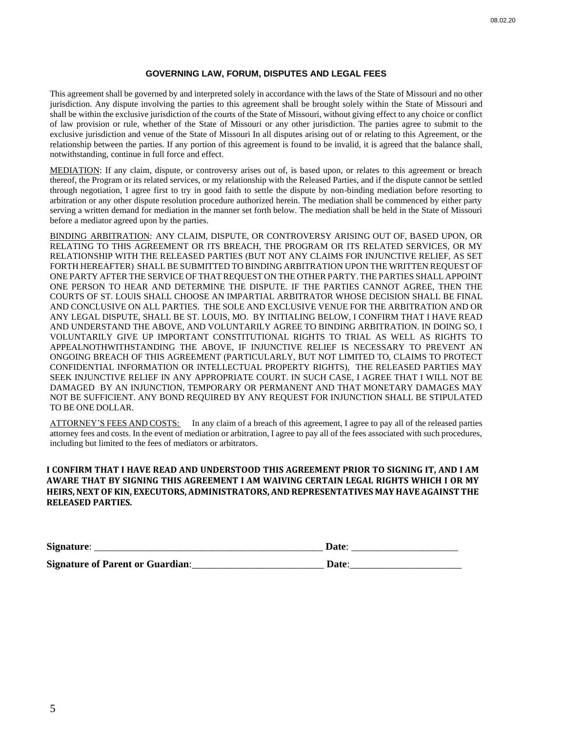#### **GOVERNING LAW, FORUM, DISPUTES AND LEGAL FEES**

This agreement shall be governed by and interpreted solely in accordance with the laws of the State of Missouri and no other jurisdiction. Any dispute involving the parties to this agreement shall be brought solely within the State of Missouri and shall be within the exclusive jurisdiction of the courts of the State of Missouri, without giving effect to any choice or conflict of law provision or rule, whether of the State of Missouri or any other jurisdiction. The parties agree to submit to the exclusive jurisdiction and venue of the State of Missouri In all disputes arising out of or relating to this Agreement, or the relationship between the parties. If any portion of this agreement is found to be invalid, it is agreed that the balance shall, notwithstanding, continue in full force and effect.

MEDIATION: If any claim, dispute, or controversy arises out of, is based upon, or relates to this agreement or breach thereof, the Program or its related services, or my relationship with the Released Parties, and if the dispute cannot be settled through negotiation, I agree first to try in good faith to settle the dispute by non-binding mediation before resorting to arbitration or any other dispute resolution procedure authorized herein. The mediation shall be commenced by either party serving a written demand for mediation in the manner set forth below. The mediation shall be held in the State of Missouri before a mediator agreed upon by the parties.

BINDING ARBITRATION: ANY CLAIM, DISPUTE, OR CONTROVERSY ARISING OUT OF, BASED UPON, OR RELATING TO THIS AGREEMENT OR ITS BREACH, THE PROGRAM OR ITS RELATED SERVICES, OR MY RELATIONSHIP WITH THE RELEASED PARTIES (BUT NOT ANY CLAIMS FOR INJUNCTIVE RELIEF, AS SET FORTH HEREAFTER) SHALL BE SUBMITTED TO BINDING ARBITRATION UPON THE WRITTEN REQUEST OF ONE PARTY AFTER THE SERVICE OF THAT REQUEST ON THE OTHER PARTY. THE PARTIES SHALL APPOINT ONE PERSON TO HEAR AND DETERMINE THE DISPUTE. IF THE PARTIES CANNOT AGREE, THEN THE COURTS OF ST. LOUIS SHALL CHOOSE AN IMPARTIAL ARBITRATOR WHOSE DECISION SHALL BE FINAL AND CONCLUSIVE ON ALL PARTIES. THE SOLE AND EXCLUSIVE VENUE FOR THE ARBITRATION AND OR ANY LEGAL DISPUTE, SHALL BE ST. LOUIS, MO. BY INITIALING BELOW, I CONFIRM THAT I HAVE READ AND UNDERSTAND THE ABOVE, AND VOLUNTARILY AGREE TO BINDING ARBITRATION. IN DOING SO, I VOLUNTARILY GIVE UP IMPORTANT CONSTITUTIONAL RIGHTS TO TRIAL AS WELL AS RIGHTS TO APPEALNOTHWITHSTANDING THE ABOVE, IF INJUNCTIVE RELIEF IS NECESSARY TO PREVENT AN ONGOING BREACH OF THIS AGREEMENT (PARTICULARLY, BUT NOT LIMITED TO, CLAIMS TO PROTECT CONFIDENTIAL INFORMATION OR INTELLECTUAL PROPERTY RIGHTS), THE RELEASED PARTIES MAY SEEK INJUNCTIVE RELIEF IN ANY APPROPRIATE COURT. IN SUCH CASE, I AGREE THAT I WILL NOT BE DAMAGED BY AN INJUNCTION, TEMPORARY OR PERMANENT AND THAT MONETARY DAMAGES MAY NOT BE SUFFICIENT. ANY BOND REQUIRED BY ANY REQUEST FOR INJUNCTION SHALL BE STIPULATED TO BE ONE DOLLAR.

ATTORNEY'S FEES AND COSTS: In any claim of a breach of this agreement, I agree to pay all of the released parties attorney fees and costs. In the event of mediation or arbitration, I agree to pay all of the fees associated with such procedures, including but limited to the fees of mediators or arbitrators.

### **I CONFIRM THAT I HAVE READ AND UNDERSTOOD THIS AGREEMENT PRIOR TO SIGNING IT, AND I AM AWARE THAT BY SIGNING THIS AGREEMENT I AM WAIVING CERTAIN LEGAL RIGHTS WHICH I OR MY HEIRS, NEXT OF KIN, EXECUTORS, ADMINISTRATORS, AND REPRESENTATIVES MAY HAVE AGAINST THE RELEASED PARTIES.**

| Signature:                              | Date:             |
|-----------------------------------------|-------------------|
| <b>Signature of Parent or Guardian:</b> | Date <sup>.</sup> |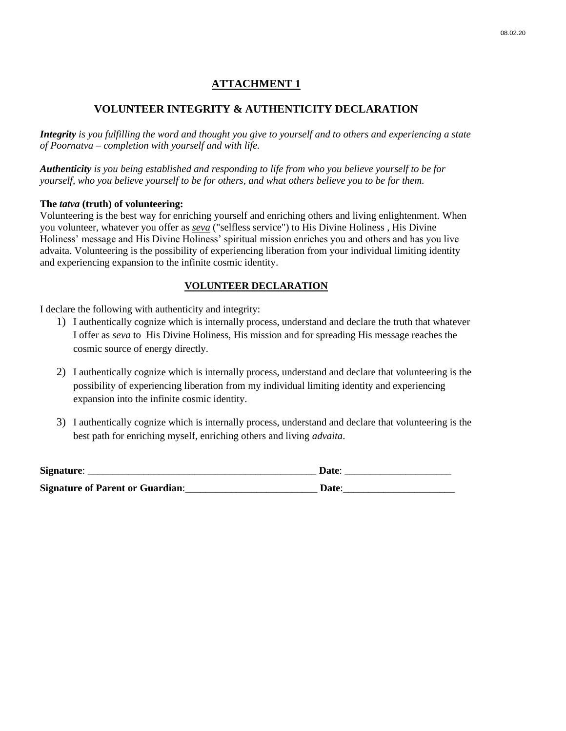## **ATTACHMENT 1**

## **VOLUNTEER INTEGRITY & AUTHENTICITY DECLARATION**

*Integrity is you fulfilling the word and thought you give to yourself and to others and experiencing a state of Poornatva – completion with yourself and with life.* 

*Authenticity is you being established and responding to life from who you believe yourself to be for yourself, who you believe yourself to be for others, and what others believe you to be for them.* 

## **The** *tatva* **(truth) of volunteering:**

Volunteering is the best way for enriching yourself and enriching others and living enlightenment. When you volunteer, whatever you offer as *seva* ("selfless service") to His Divine Holiness , His Divine Holiness' message and His Divine Holiness' spiritual mission enriches you and others and has you live advaita. Volunteering is the possibility of experiencing liberation from your individual limiting identity and experiencing expansion to the infinite cosmic identity.

## **VOLUNTEER DECLARATION**

I declare the following with authenticity and integrity:

- 1) I authentically cognize which is internally process, understand and declare the truth that whatever I offer as *seva* to His Divine Holiness, His mission and for spreading His message reaches the cosmic source of energy directly.
- 2) I authentically cognize which is internally process, understand and declare that volunteering is the possibility of experiencing liberation from my individual limiting identity and experiencing expansion into the infinite cosmic identity.
- 3) I authentically cognize which is internally process, understand and declare that volunteering is the best path for enriching myself, enriching others and living *advaita*.

| Signature:                              | Date: |
|-----------------------------------------|-------|
| <b>Signature of Parent or Guardian:</b> | Date: |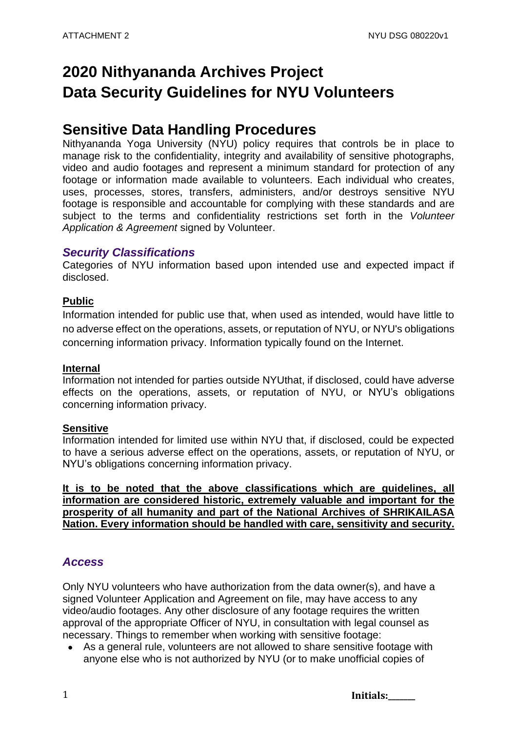# **2020 Nithyananda Archives Project Data Security Guidelines for NYU Volunteers**

# **Sensitive Data Handling Procedures**

Nithyananda Yoga University (NYU) policy requires that controls be in place to manage risk to the confidentiality, integrity and availability of sensitive photographs, video and audio footages and represent a minimum standard for protection of any footage or information made available to volunteers. Each individual who creates, uses, processes, stores, transfers, administers, and/or destroys sensitive NYU footage is responsible and accountable for complying with these standards and are subject to the terms and confidentiality restrictions set forth in the *Volunteer Application & Agreement* signed by Volunteer.

# *Security Classifications*

Categories of NYU information based upon intended use and expected impact if disclosed.

# **Public**

Information intended for public use that, when used as intended, would have little to no adverse effect on the operations, assets, or reputation of NYU, or NYU's obligations concerning information privacy. Information typically found on the Internet.

## **Internal**

Information not intended for parties outside NYUthat, if disclosed, could have adverse effects on the operations, assets, or reputation of NYU, or NYU's obligations concerning information privacy.

## **Sensitive**

Information intended for limited use within NYU that, if disclosed, could be expected to have a serious adverse effect on the operations, assets, or reputation of NYU, or NYU's obligations concerning information privacy.

**It is to be noted that the above classifications which are guidelines, all information are considered historic, extremely valuable and important for the prosperity of all humanity and part of the National Archives of SHRIKAILASA Nation. Every information should be handled with care, sensitivity and security.** 

# *Access*

Only NYU volunteers who have authorization from the data owner(s), and have a signed Volunteer Application and Agreement on file, may have access to any video/audio footages. Any other disclosure of any footage requires the written approval of the appropriate Officer of NYU, in consultation with legal counsel as necessary. Things to remember when working with sensitive footage:

• As a general rule, volunteers are not allowed to share sensitive footage with anyone else who is not authorized by NYU (or to make unofficial copies of